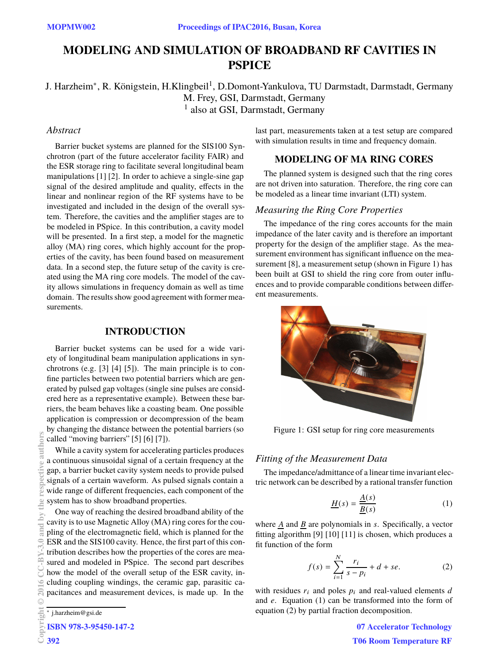# **MODELING AND SIMULATION OF BROADBAND RF CAVITIES IN PSPICE**

# J. Harzheim\*, R. Königstein, H.Klingbeil<sup>1</sup>, D.Domont-Yankulova, TU Darmstadt, Darmstadt, Germany M. Frey, GSI, Darmstadt, Germany 1 also at GSI, Darmstadt, Germany

#### *Abstract*

Barrier bucket systems are planned for the SIS100 Synchrotron (part of the future accelerator facility FAIR) and the ESR storage ring to facilitate several longitudinal beam manipulations [1] [2]. In order to achieve a single-sine gap signal of the desired amplitude and quality, effects in the linear and nonlinear region of the RF systems have to be investigated and included in the design of the overall system. Therefore, the cavities and the amplifier stages are to be modeled in PSpice. In this contribution, a cavity model will be presented. In a first step, a model for the magnetic alloy (MA) ring cores, which highly account for the properties of the cavity, has been found based on measurement data. In a second step, the future setup of the cavity is created using the MA ring core models. The model of the cavity allows simulations in frequency domain as well as time domain. The results show good agreement with former measurements.

#### **INTRODUCTION**

Barrier bucket systems can be used for a wide variety of longitudinal beam manipulation applications in synchrotrons (e.g. [3] [4] [5]). The main principle is to confine particles between two potential barriers which are generated by pulsed gap voltages (single sine pulses are considered here as a representative example). Between these barriers, the beam behaves like a coasting beam. One possible application is compression or decompression of the beam by changing the distance between the potential barriers (so called "moving barriers" [5] [6] [7]).

While a cavity system for accelerating particles produces a continuous sinusoidal signal of a certain frequency at the gap, a barrier bucket cavity system needs to provide pulsed signals of a certain waveform. As pulsed signals contain a wide range of different frequencies, each component of the system has to show broadband properties.

One way of reaching the desired broadband ability of the cavity is to use Magnetic Alloy (MA) ring cores for the coupling of the electromagnetic field, which is planned for the ESR and the SIS100 cavity. Hence, the first part of this contribution describes how the properties of the cores are measured and modeled in PSpice. The second part describes how the model of the overall setup of the ESR cavity, including coupling windings, the ceramic gap, parasitic capacitances and measurement devices, is made up. In the Copyright © 2016 CC-BY-3.0 and by the respective authors

∗ j.harzheim@gsi.de

ISBN 978-3-95450-147-2

392

authors

 $\approx$ 

and

last part, measurements taken at a test setup are compared with simulation results in time and frequency domain.

# **MODELING OF MA RING CORES**

The planned system is designed such that the ring cores are not driven into saturation. Therefore, the ring core can be modeled as a linear time invariant (LTI) system.

#### *Measuring the Ring Core Properties*

The impedance of the ring cores accounts for the main impedance of the later cavity and is therefore an important property for the design of the amplifier stage. As the measurement environment has significant influence on the measurement [8], a measurement setup (shown in Figure 1) has been built at GSI to shield the ring core from outer influences and to provide comparable conditions between different measurements.



Figure 1: GSI setup for ring core measurements

#### *Fitting of the Measurement Data*

The impedance/admittance of a linear time invariant electric network can be described by a rational transfer function

$$
\underline{H}(s) = \frac{\underline{A}(s)}{\underline{B}(s)}\tag{1}
$$

where  $\underline{A}$  and  $\underline{B}$  are polynomials in *s*. Specifically, a vector fitting algorithm [9] [10] [11] is chosen, which produces a fit function of the form

$$
f(s) = \sum_{i=1}^{N} \frac{r_i}{s - p_i} + d + se.
$$
 (2)

with residues  $r_i$  and poles  $p_i$  and real-valued elements  $d$ and *e*. Equation (1) can be transformed into the form of equation (2) by partial fraction decomposition.

> 07 Accelerator Technology T06 Room Temperature RF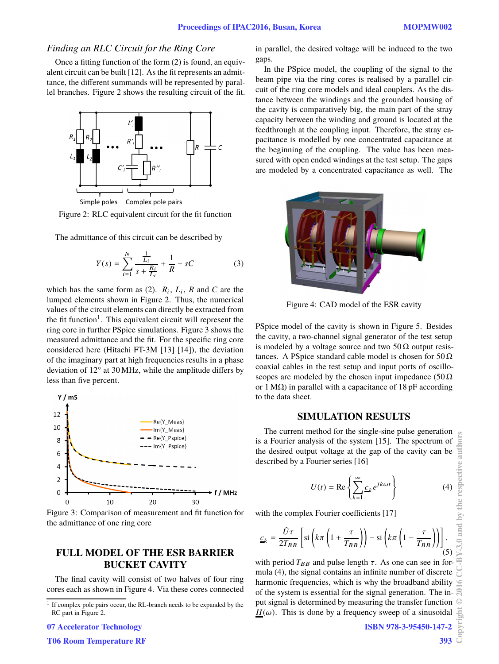#### *Finding an RLC Circuit for the Ring Core*

Once a fitting function of the form (2) is found, an equivalent circuit can be built [12]. As the fit represents an admittance, the different summands will be represented by parallel branches. Figure 2 shows the resulting circuit of the fit.



Simple poles Complex pole pairs

Figure 2: RLC equivalent circuit for the fit function

The admittance of this circuit can be described by

$$
Y(s) = \sum_{i=1}^{N} \frac{\frac{1}{L_i}}{s + \frac{R_i}{L_i}} + \frac{1}{R} + sC
$$
 (3)

which has the same form as  $(2)$ .  $R_i$ ,  $L_i$ ,  $R$  and  $C$  are the lumped elements shown in Figure 2. Thus, the numerical values of the circuit elements can directly be extracted from the fit function<sup>1</sup>. This equivalent circuit will represent the ring core in further PSpice simulations. Figure 3 shows the measured admittance and the fit. For the specific ring core considered here (Hitachi FT-3M [13] [14]), the deviation of the imaginary part at high frequencies results in a phase deviation of 12° at 30 MHz, while the amplitude differs by less than five percent.



Figure 3: Comparison of measurement and fit function for the admittance of one ring core

# **FULL MODEL OF THE ESR BARRIER BUCKET CAVITY**

The final cavity will consist of two halves of four ring cores each as shown in Figure 4. Via these cores connected

07 Accelerator Technology

T06 Room Temperature RF

in parallel, the desired voltage will be induced to the two gaps.

In the PSpice model, the coupling of the signal to the beam pipe via the ring cores is realised by a parallel circuit of the ring core models and ideal couplers. As the distance between the windings and the grounded housing of the cavity is comparatively big, the main part of the stray capacity between the winding and ground is located at the feedthrough at the coupling input. Therefore, the stray capacitance is modelled by one concentrated capacitance at the beginning of the coupling. The value has been measured with open ended windings at the test setup. The gaps are modeled by a concentrated capacitance as well. The



Figure 4: CAD model of the ESR cavity

PSpice model of the cavity is shown in Figure 5. Besides the cavity, a two-channel signal generator of the test setup is modeled by a voltage source and two  $50\Omega$  output resistances. A PSpice standard cable model is chosen for  $50 \Omega$ coaxial cables in the test setup and input ports of oscilloscopes are modeled by the chosen input impedance ( $50 \Omega$ ) or 1 M $\Omega$ ) in parallel with a capacitance of 18 pF according to the data sheet.

### **SIMULATION RESULTS**

The current method for the single-sine pulse generation is a Fourier analysis of the system [15]. The spectrum of the desired output voltage at the gap of the cavity can be described by a Fourier series [16]

$$
U(t) = \text{Re}\left\{\sum_{k=1}^{\infty} \underline{c}_k e^{jk\omega t}\right\}
$$
 (4)

with the complex Fourier coefficients [17]

$$
\underline{c}_{k} = \frac{\hat{U}\tau}{2T_{BB}} \left[ \text{si}\left(k\pi \left(1 + \frac{\tau}{T_{BB}}\right)\right) - \text{si}\left(k\pi \left(1 - \frac{\tau}{T_{BB}}\right)\right) \right].
$$
\n(5)

with period  $T_{BB}$  and pulse length  $\tau$ . As one can see in formula (4), the signal contains an infinite number of discrete harmonic frequencies, which is why the broadband ability of the system is essential for the signal generation. The input signal is determined by measuring the transfer function  $H(\omega)$ . This is done by a frequency sweep of a sinusoidal

393

<sup>&</sup>lt;sup>1</sup> If complex pole pairs occur, the RL-branch needs to be expanded by the RC part in Figure 2.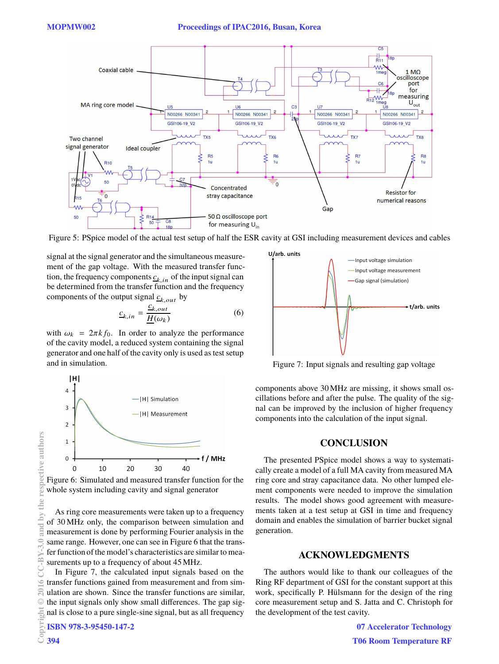

Figure 5: PSpice model of the actual test setup of half the ESR cavity at GSI including measurement devices and cables

signal at the signal generator and the simultaneous measurement of the gap voltage. With the measured transfer function, the frequency components  $c_{k,in}$  of the input signal can be determined from the transfer function and the frequency components of the output signal  $c_{k,out}$  by

$$
\underline{c}_{k,in} = \frac{\underline{c}_{k,out}}{\underline{H}(\omega_k)}\tag{6}
$$

with  $\omega_k = 2\pi k f_0$ . In order to analyze the performance of the cavity model, a reduced system containing the signal generator and one half of the cavity only is used as test setup and in simulation.



Figure 6: Simulated and measured transfer function for the whole system including cavity and signal generator

As ring core measurements were taken up to a frequency of 30 MHz only, the comparison between simulation and measurement is done by performing Fourier analysis in the same range. However, one can see in Figure 6 that the transfer function of the model's characteristics are similar to measurements up to a frequency of about 45 MHz.

In Figure 7, the calculated input signals based on the transfer functions gained from measurement and from simulation are shown. Since the transfer functions are similar, the input signals only show small differences. The gap signal is close to a pure single-sine signal, but as all frequency



Figure 7: Input signals and resulting gap voltage

components above 30 MHz are missing, it shows small oscillations before and after the pulse. The quality of the signal can be improved by the inclusion of higher frequency components into the calculation of the input signal.

## **CONCLUSION**

The presented PSpice model shows a way to systematically create a model of a full MA cavity from measured MA ring core and stray capacitance data. No other lumped element components were needed to improve the simulation results. The model shows good agreement with measurements taken at a test setup at GSI in time and frequency domain and enables the simulation of barrier bucket signal generation.

#### **ACKNOWLEDGMENTS**

The authors would like to thank our colleagues of the Ring RF department of GSI for the constant support at this work, specifically P. Hülsmann for the design of the ring core measurement setup and S. Jatta and C. Christoph for the development of the test cavity.

> 07 Accelerator Technology T06 Room Temperature RF